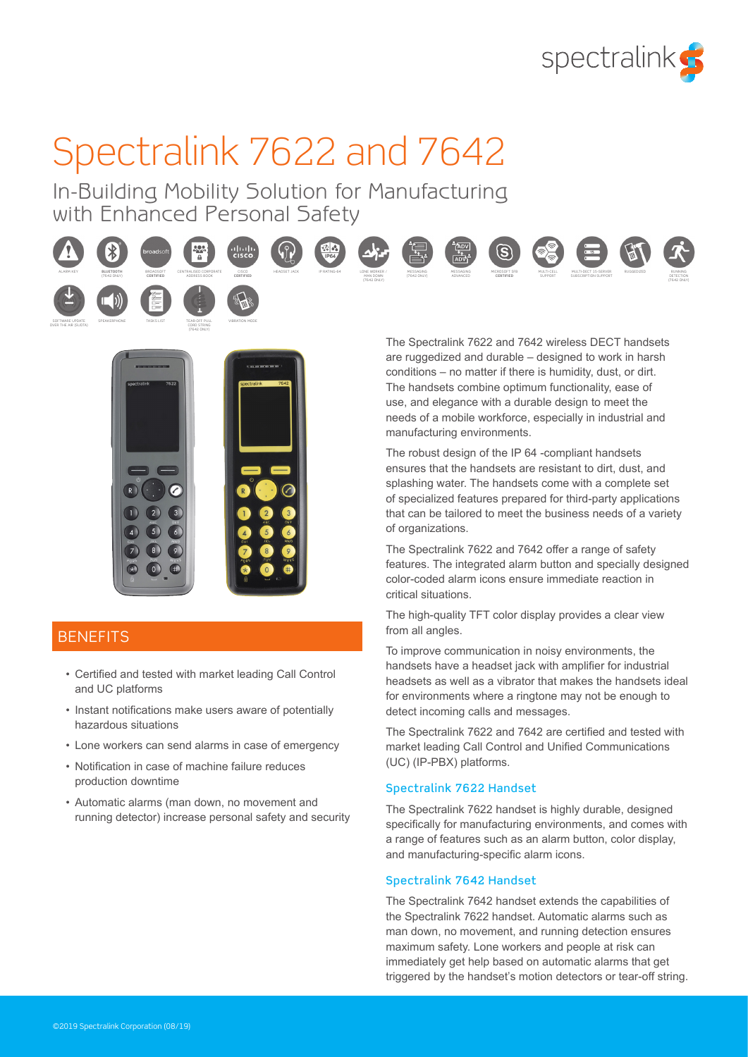

# Spectralink 7622 and 7642

In-Building Mobility Solution for Manufacturing with Enhanced Personal Safety





TEAR-OFF PULL CORD STRING (7642 ONLY)

### **BENEFITS**

SPEAKERPHONE TASKS LIST

SOFTWARE UPDATE OVER THE AIR (SUOTA)

- Certified and tested with market leading Call Control and UC platforms
- Instant notifications make users aware of potentially hazardous situations
- Lone workers can send alarms in case of emergency
- Notification in case of machine failure reduces production downtime
- Automatic alarms (man down, no movement and running detector) increase personal safety and security

The Spectralink 7622 and 7642 wireless DECT handsets are ruggedized and durable – designed to work in harsh conditions – no matter if there is humidity, dust, or dirt. The handsets combine optimum functionality, ease of use, and elegance with a durable design to meet the needs of a mobile workforce, especially in industrial and manufacturing environments.

The robust design of the IP 64 -compliant handsets ensures that the handsets are resistant to dirt, dust, and splashing water. The handsets come with a complete set of specialized features prepared for third-party applications that can be tailored to meet the business needs of a variety of organizations.

The Spectralink 7622 and 7642 offer a range of safety features. The integrated alarm button and specially designed color-coded alarm icons ensure immediate reaction in critical situations.

The high-quality TFT color display provides a clear view from all angles.

To improve communication in noisy environments, the handsets have a headset jack with amplifier for industrial headsets as well as a vibrator that makes the handsets ideal for environments where a ringtone may not be enough to detect incoming calls and messages.

The Spectralink 7622 and 7642 are certified and tested with market leading Call Control and Unified Communications (UC) (IP-PBX) platforms.

#### Spectralink 7622 Handset

The Spectralink 7622 handset is highly durable, designed specifically for manufacturing environments, and comes with a range of features such as an alarm button, color display, and manufacturing-specific alarm icons.

#### Spectralink 7642 Handset

The Spectralink 7642 handset extends the capabilities of the Spectralink 7622 handset. Automatic alarms such as man down, no movement, and running detection ensures maximum safety. Lone workers and people at risk can immediately get help based on automatic alarms that get triggered by the handset's motion detectors or tear-off string.